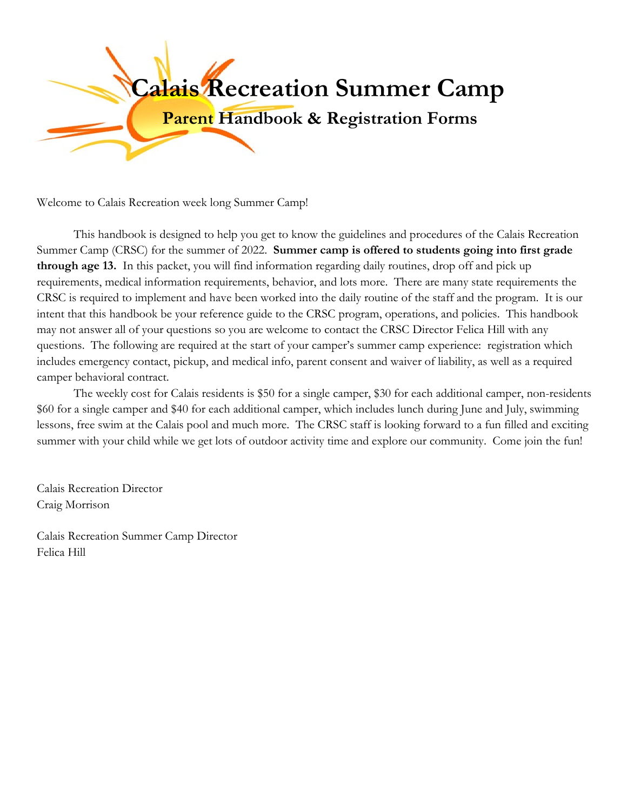

Welcome to Calais Recreation week long Summer Camp!

This handbook is designed to help you get to know the guidelines and procedures of the Calais Recreation Summer Camp (CRSC) for the summer of 2022. **Summer camp is offered to students going into first grade through age 13.** In this packet, you will find information regarding daily routines, drop off and pick up requirements, medical information requirements, behavior, and lots more. There are many state requirements the CRSC is required to implement and have been worked into the daily routine of the staff and the program. It is our intent that this handbook be your reference guide to the CRSC program, operations, and policies. This handbook may not answer all of your questions so you are welcome to contact the CRSC Director Felica Hill with any questions. The following are required at the start of your camper's summer camp experience: registration which includes emergency contact, pickup, and medical info, parent consent and waiver of liability, as well as a required camper behavioral contract.

The weekly cost for Calais residents is \$50 for a single camper, \$30 for each additional camper, non-residents \$60 for a single camper and \$40 for each additional camper, which includes lunch during June and July, swimming lessons, free swim at the Calais pool and much more. The CRSC staff is looking forward to a fun filled and exciting summer with your child while we get lots of outdoor activity time and explore our community. Come join the fun!

Calais Recreation Director Craig Morrison

Calais Recreation Summer Camp Director Felica Hill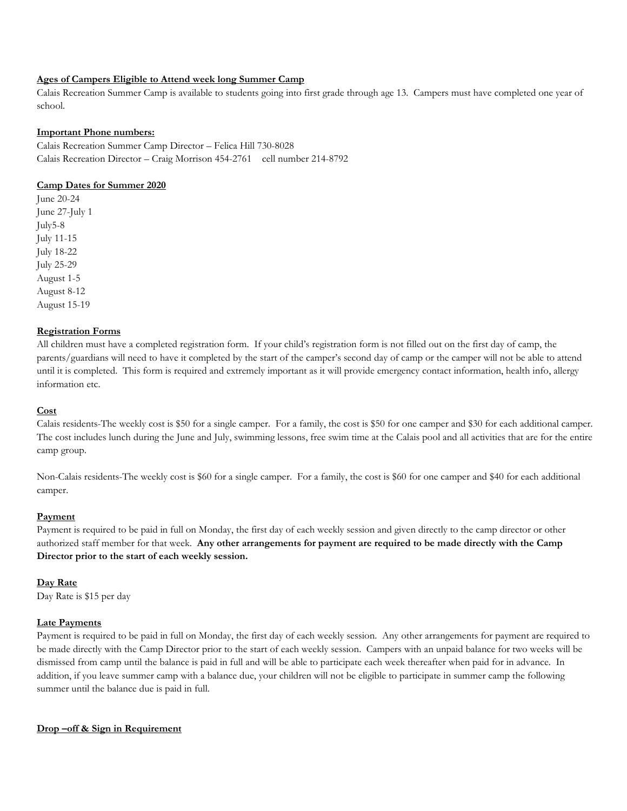# **Ages of Campers Eligible to Attend week long Summer Camp**

Calais Recreation Summer Camp is available to students going into first grade through age 13. Campers must have completed one year of school.

#### **Important Phone numbers:**

Calais Recreation Summer Camp Director – Felica Hill 730-8028 Calais Recreation Director – Craig Morrison 454-2761 cell number 214-8792

#### **Camp Dates for Summer 2020**

June 20-24 June 27-July 1 July5-8 July 11-15 July 18-22 July 25-29 August 1-5 August 8-12 August 15-19

#### **Registration Forms**

All children must have a completed registration form. If your child's registration form is not filled out on the first day of camp, the parents/guardians will need to have it completed by the start of the camper's second day of camp or the camper will not be able to attend until it is completed. This form is required and extremely important as it will provide emergency contact information, health info, allergy information etc.

### **Cost**

Calais residents-The weekly cost is \$50 for a single camper. For a family, the cost is \$50 for one camper and \$30 for each additional camper. The cost includes lunch during the June and July, swimming lessons, free swim time at the Calais pool and all activities that are for the entire camp group.

Non-Calais residents-The weekly cost is \$60 for a single camper. For a family, the cost is \$60 for one camper and \$40 for each additional camper.

### **Payment**

Payment is required to be paid in full on Monday, the first day of each weekly session and given directly to the camp director or other authorized staff member for that week. **Any other arrangements for payment are required to be made directly with the Camp Director prior to the start of each weekly session.**

## **Day Rate**

Day Rate is \$15 per day

#### **Late Payments**

Payment is required to be paid in full on Monday, the first day of each weekly session. Any other arrangements for payment are required to be made directly with the Camp Director prior to the start of each weekly session. Campers with an unpaid balance for two weeks will be dismissed from camp until the balance is paid in full and will be able to participate each week thereafter when paid for in advance. In addition, if you leave summer camp with a balance due, your children will not be eligible to participate in summer camp the following summer until the balance due is paid in full.

#### **Drop –off & Sign in Requirement**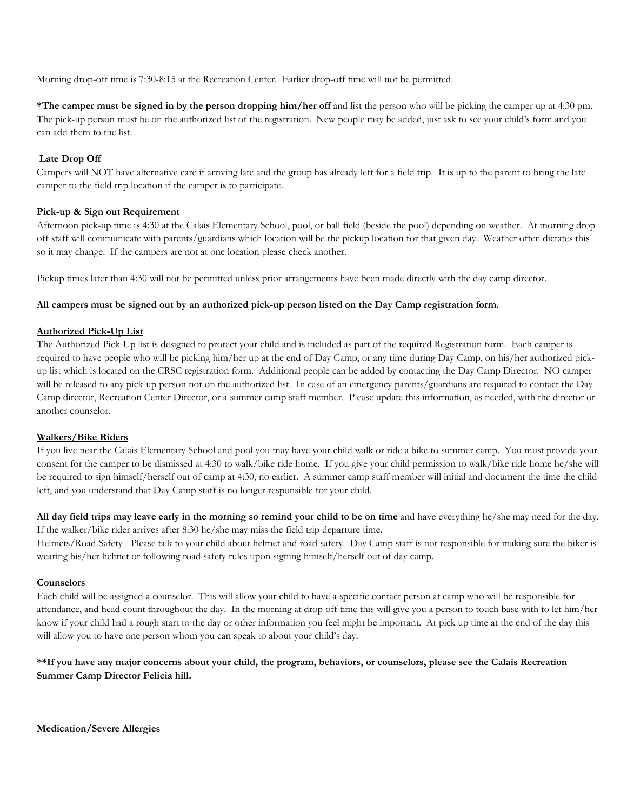Morning drop-off time is 7:30-8:15 at the Recreation Center. Earlier drop-off time will not be permitted.

**\*The camper must be signed in by the person dropping him/her off** and list the person who will be picking the camper up at 4:30 pm. The pick-up person must be on the authorized list of the registration. New people may be added, just ask to see your child's form and you can add them to the list.

# **Late Drop Off**

Campers will NOT have alternative care if arriving late and the group has already left for a field trip. It is up to the parent to bring the late camper to the field trip location if the camper is to participate.

## **Pick-up & Sign out Requirement**

Afternoon pick-up time is 4:30 at the Calais Elementary School, pool, or ball field (beside the pool) depending on weather. At morning drop off staff will communicate with parents/guardians which location will be the pickup location for that given day. Weather often dictates this so it may change. If the campers are not at one location please check another.

Pickup times later than 4:30 will not be permitted unless prior arrangements have been made directly with the day camp director.

## **All campers must be signed out by an authorized pick-up person listed on the Day Camp registration form.**

#### **Authorized Pick-Up List**

The Authorized Pick-Up list is designed to protect your child and is included as part of the required Registration form. Each camper is required to have people who will be picking him/her up at the end of Day Camp, or any time during Day Camp, on his/her authorized pickup list which is located on the CRSC registration form. Additional people can be added by contacting the Day Camp Director. NO camper will be released to any pick-up person not on the authorized list. In case of an emergency parents/guardians are required to contact the Day Camp director, Recreation Center Director, or a summer camp staff member. Please update this information, as needed, with the director or another counselor.

## **Walkers/Bike Riders**

If you live near the Calais Elementary School and pool you may have your child walk or ride a bike to summer camp. You must provide your consent for the camper to be dismissed at 4:30 to walk/bike ride home. If you give your child permission to walk/bike ride home he/she will be required to sign himself/herself out of camp at 4:30, no earlier. A summer camp staff member will initial and document the time the child left, and you understand that Day Camp staff is no longer responsible for your child.

**All day field trips may leave early in the morning so remind your child to be on time** and have everything he/she may need for the day. If the walker/bike rider arrives after 8:30 he/she may miss the field trip departure time.

Helmets/Road Safety - Please talk to your child about helmet and road safety. Day Camp staff is not responsible for making sure the biker is wearing his/her helmet or following road safety rules upon signing himself/herself out of day camp.

#### **Counselors**

Each child will be assigned a counselor. This will allow your child to have a specific contact person at camp who will be responsible for attendance, and head count throughout the day. In the morning at drop off time this will give you a person to touch base with to let him/her know if your child had a rough start to the day or other information you feel might be important. At pick up time at the end of the day this will allow you to have one person whom you can speak to about your child's day.

# **\*\*If you have any major concerns about your child, the program, behaviors, or counselors, please see the Calais Recreation Summer Camp Director Felicia hill.**

**Medication/Severe Allergies**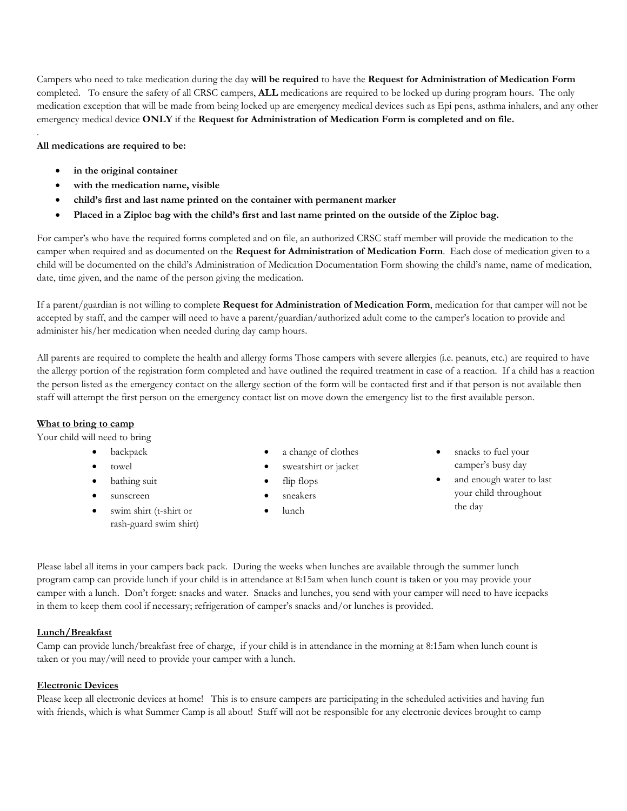Campers who need to take medication during the day **will be required** to have the **Request for Administration of Medication Form**  completed. To ensure the safety of all CRSC campers, **ALL** medications are required to be locked up during program hours. The only medication exception that will be made from being locked up are emergency medical devices such as Epi pens, asthma inhalers, and any other emergency medical device **ONLY** if the **Request for Administration of Medication Form is completed and on file.**

### **All medications are required to be:**

.

- in the original container
- **with the medication name, visible**
- **child's first and last name printed on the container with permanent marker**
- **Placed in a Ziploc bag with the child's first and last name printed on the outside of the Ziploc bag.**

For camper's who have the required forms completed and on file, an authorized CRSC staff member will provide the medication to the camper when required and as documented on the **Request for Administration of Medication Form**. Each dose of medication given to a child will be documented on the child's Administration of Medication Documentation Form showing the child's name, name of medication, date, time given, and the name of the person giving the medication.

If a parent/guardian is not willing to complete **Request for Administration of Medication Form**, medication for that camper will not be accepted by staff, and the camper will need to have a parent/guardian/authorized adult come to the camper's location to provide and administer his/her medication when needed during day camp hours.

All parents are required to complete the health and allergy forms Those campers with severe allergies (i.e. peanuts, etc.) are required to have the allergy portion of the registration form completed and have outlined the required treatment in case of a reaction. If a child has a reaction the person listed as the emergency contact on the allergy section of the form will be contacted first and if that person is not available then staff will attempt the first person on the emergency contact list on move down the emergency list to the first available person.

## **What to bring to camp**

Your child will need to bring

- **backpack**
- towel
- bathing suit
- sunscreen
- swim shirt (t-shirt or rash-guard swim shirt)
- a change of clothes
- sweatshirt or jacket
- flip flops
- sneakers
- lunch
- snacks to fuel your camper's busy day
- and enough water to last your child throughout the day

Please label all items in your campers back pack. During the weeks when lunches are available through the summer lunch program camp can provide lunch if your child is in attendance at 8:15am when lunch count is taken or you may provide your camper with a lunch. Don't forget: snacks and water. Snacks and lunches, you send with your camper will need to have icepacks in them to keep them cool if necessary; refrigeration of camper's snacks and/or lunches is provided.

# **Lunch/Breakfast**

Camp can provide lunch/breakfast free of charge, if your child is in attendance in the morning at 8:15am when lunch count is taken or you may/will need to provide your camper with a lunch.

## **Electronic Devices**

Please keep all electronic devices at home! This is to ensure campers are participating in the scheduled activities and having fun with friends, which is what Summer Camp is all about! Staff will not be responsible for any electronic devices brought to camp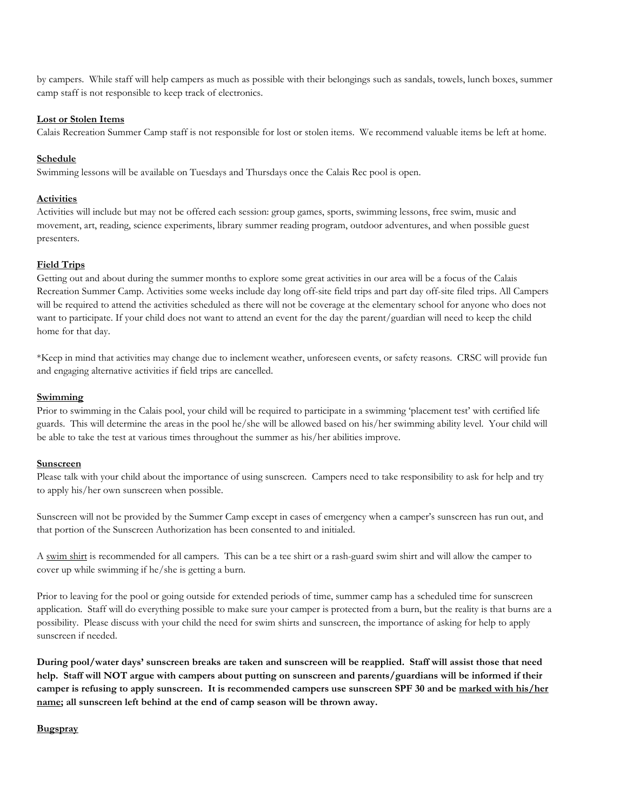by campers. While staff will help campers as much as possible with their belongings such as sandals, towels, lunch boxes, summer camp staff is not responsible to keep track of electronics.

### **Lost or Stolen Items**

Calais Recreation Summer Camp staff is not responsible for lost or stolen items. We recommend valuable items be left at home.

### **Schedule**

Swimming lessons will be available on Tuesdays and Thursdays once the Calais Rec pool is open.

#### **Activities**

Activities will include but may not be offered each session: group games, sports, swimming lessons, free swim, music and movement, art, reading, science experiments, library summer reading program, outdoor adventures, and when possible guest presenters.

## **Field Trips**

Getting out and about during the summer months to explore some great activities in our area will be a focus of the Calais Recreation Summer Camp. Activities some weeks include day long off-site field trips and part day off-site filed trips. All Campers will be required to attend the activities scheduled as there will not be coverage at the elementary school for anyone who does not want to participate. If your child does not want to attend an event for the day the parent/guardian will need to keep the child home for that day.

\*Keep in mind that activities may change due to inclement weather, unforeseen events, or safety reasons. CRSC will provide fun and engaging alternative activities if field trips are cancelled.

#### **Swimming**

Prior to swimming in the Calais pool, your child will be required to participate in a swimming 'placement test' with certified life guards. This will determine the areas in the pool he/she will be allowed based on his/her swimming ability level. Your child will be able to take the test at various times throughout the summer as his/her abilities improve.

#### **Sunscreen**

Please talk with your child about the importance of using sunscreen. Campers need to take responsibility to ask for help and try to apply his/her own sunscreen when possible.

Sunscreen will not be provided by the Summer Camp except in cases of emergency when a camper's sunscreen has run out, and that portion of the Sunscreen Authorization has been consented to and initialed.

A swim shirt is recommended for all campers. This can be a tee shirt or a rash-guard swim shirt and will allow the camper to cover up while swimming if he/she is getting a burn.

Prior to leaving for the pool or going outside for extended periods of time, summer camp has a scheduled time for sunscreen application. Staff will do everything possible to make sure your camper is protected from a burn, but the reality is that burns are a possibility. Please discuss with your child the need for swim shirts and sunscreen, the importance of asking for help to apply sunscreen if needed.

**During pool/water days' sunscreen breaks are taken and sunscreen will be reapplied. Staff will assist those that need help. Staff will NOT argue with campers about putting on sunscreen and parents/guardians will be informed if their camper is refusing to apply sunscreen. It is recommended campers use sunscreen SPF 30 and be marked with his/her name; all sunscreen left behind at the end of camp season will be thrown away.** 

## **Bugspray**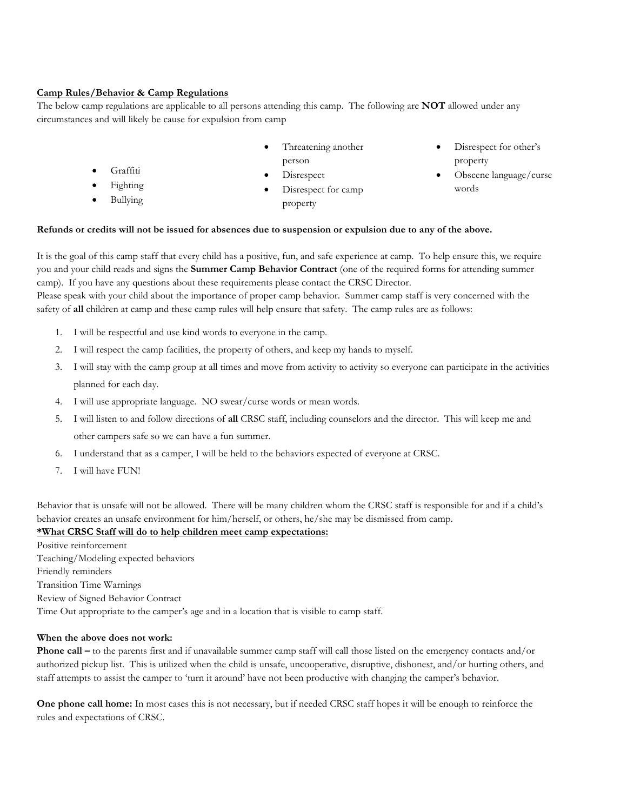#### **Camp Rules/Behavior & Camp Regulations**

The below camp regulations are applicable to all persons attending this camp. The following are **NOT** allowed under any circumstances and will likely be cause for expulsion from camp

- Threatening another person
- Disrespect for other's property
- Obscene language/curse words
- **Fighting**
- Bullying

• Graffiti

- **Disrespect**
- Disrespect for camp property

# **Refunds or credits will not be issued for absences due to suspension or expulsion due to any of the above.**

It is the goal of this camp staff that every child has a positive, fun, and safe experience at camp. To help ensure this, we require you and your child reads and signs the **Summer Camp Behavior Contract** (one of the required forms for attending summer camp). If you have any questions about these requirements please contact the CRSC Director.

Please speak with your child about the importance of proper camp behavior. Summer camp staff is very concerned with the safety of **all** children at camp and these camp rules will help ensure that safety. The camp rules are as follows:

- 1. I will be respectful and use kind words to everyone in the camp.
- 2. I will respect the camp facilities, the property of others, and keep my hands to myself.
- 3. I will stay with the camp group at all times and move from activity to activity so everyone can participate in the activities planned for each day.
- 4. I will use appropriate language. NO swear/curse words or mean words.
- 5. I will listen to and follow directions of **all** CRSC staff, including counselors and the director. This will keep me and other campers safe so we can have a fun summer.
- 6. I understand that as a camper, I will be held to the behaviors expected of everyone at CRSC.
- 7. I will have FUN!

Behavior that is unsafe will not be allowed. There will be many children whom the CRSC staff is responsible for and if a child's behavior creates an unsafe environment for him/herself, or others, he/she may be dismissed from camp.

## **\*What CRSC Staff will do to help children meet camp expectations:**

Positive reinforcement Teaching/Modeling expected behaviors Friendly reminders Transition Time Warnings Review of Signed Behavior Contract Time Out appropriate to the camper's age and in a location that is visible to camp staff.

#### **When the above does not work:**

**Phone call –** to the parents first and if unavailable summer camp staff will call those listed on the emergency contacts and/or authorized pickup list. This is utilized when the child is unsafe, uncooperative, disruptive, dishonest, and/or hurting others, and staff attempts to assist the camper to 'turn it around' have not been productive with changing the camper's behavior.

**One phone call home:** In most cases this is not necessary, but if needed CRSC staff hopes it will be enough to reinforce the rules and expectations of CRSC.